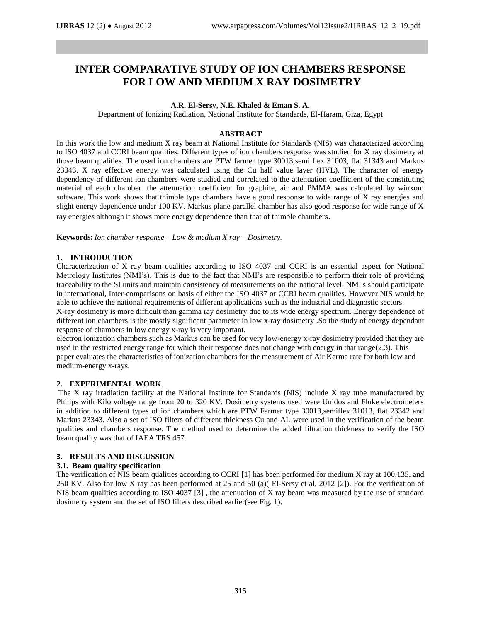# **INTER COMPARATIVE STUDY OF ION CHAMBERS RESPONSE FOR LOW AND MEDIUM X RAY DOSIMETRY**

## **A.R. El-Sersy, N.E. Khaled & Eman S. A.**

Department of Ionizing Radiation, National Institute for Standards, El-Haram, Giza, Egypt

## **ABSTRACT**

In this work the low and medium X ray beam at National Institute for Standards (NIS) was characterized according to ISO 4037 and CCRI beam qualities. Different types of ion chambers response was studied for X ray dosimetry at those beam qualities. The used ion chambers are PTW farmer type 30013,semi flex 31003, flat 31343 and Markus 23343. X ray effective energy was calculated using the Cu half value layer (HVL). The character of energy dependency of different ion chambers were studied and correlated to the attenuation coefficient of the constituting material of each chamber. the attenuation coefficient for graphite, air and PMMA was calculated by winxom software. This work shows that thimble type chambers have a good response to wide range of X ray energies and slight energy dependence under 100 KV. Markus plane parallel chamber has also good response for wide range of X ray energies although it shows more energy dependence than that of thimble chambers.

**Keywords:** *Ion chamber response – Low & medium X ray – Dosimetry.*

### **1. INTRODUCTION**

Characterization of X ray beam qualities according to ISO 4037 and CCRI is an essential aspect for National Metrology Institutes (NMI's). This is due to the fact that NMI's are responsible to perform their role of providing traceability to the SI units and maintain consistency of measurements on the national level. NMI's should participate in international, Inter-comparisons on basis of either the ISO 4037 or CCRI beam qualities. However NIS would be able to achieve the national requirements of different applications such as the industrial and diagnostic sectors.

X-ray dosimetry is more difficult than gamma ray dosimetry due to its wide energy spectrum. Energy dependence of different ion chambers is the mostly significant parameter in low x-ray dosimetry .So the study of energy dependant response of chambers in low energy x-ray is very important.

electron ionization chambers such as Markus can be used for very low-energy x-ray dosimetry provided that they are used in the restricted energy range for which their response does not change with energy in that range( $2,3$ ). This paper evaluates the characteristics of ionization chambers for the measurement of Air Kerma rate for both low and medium-energy x-rays.

### **2. EXPERIMENTAL WORK**

The X ray irradiation facility at the National Institute for Standards (NIS) include X ray tube manufactured by Philips with Kilo voltage range from 20 to 320 KV. Dosimetry systems used were Unidos and Fluke electrometers in addition to different types of ion chambers which are PTW Farmer type 30013,semiflex 31013, flat 23342 and Markus 23343. Also a set of ISO filters of different thickness Cu and AL were used in the verification of the beam qualities and chambers response. The method used to determine the added filtration thickness to verify the ISO beam quality was that of IAEA TRS 457.

### **3. RESULTS AND DISCUSSION**

## **3.1. Beam quality specification**

The verification of NIS beam qualities according to CCRI [1] has been performed for medium X ray at 100,135, and 250 KV. Also for low X ray has been performed at 25 and 50 (a)( El-Sersy et al, 2012 [2]). For the verification of NIS beam qualities according to ISO 4037 [3] , the attenuation of X ray beam was measured by the use of standard dosimetry system and the set of ISO filters described earlier(see Fig. 1).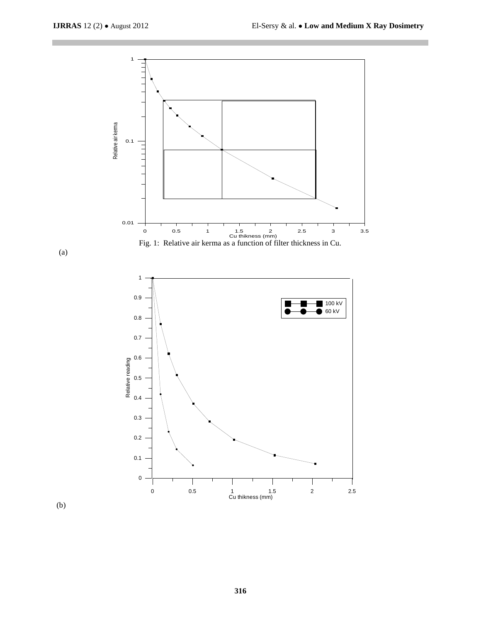





(b)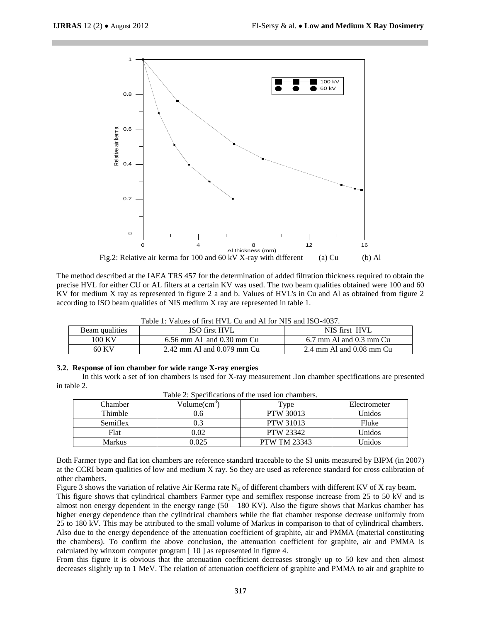

The method described at the IAEA TRS 457 for the determination of added filtration thickness required to obtain the precise HVL for either CU or AL filters at a certain KV was used. The two beam qualities obtained were 100 and 60 KV for medium X ray as represented in figure 2 a and b. Values of HVL's in Cu and Al as obtained from figure 2 according to ISO beam qualities of NIS medium X ray are represented in table 1.

| Table 1: Values of first HVL Cu and Al for NIS and ISO-4037. |  |
|--------------------------------------------------------------|--|
|--------------------------------------------------------------|--|

| Beam qualities | ISO first HVL                  | NIS first HVL                                |
|----------------|--------------------------------|----------------------------------------------|
| 100 KV         | $6.56$ mm Al and $0.30$ mm Cu  | $6.7$ mm Al and $0.3$ mm Cu                  |
| 60 KV          | $2.42$ mm Al and $0.079$ mm Cu | $2.4 \text{ mm}$ Al and $0.08 \text{ mm}$ Cu |

#### **3.2. Response of ion chamber for wide range X-ray energies**

 In this work a set of ion chambers is used for X-ray measurement .Ion chamber specifications are presented in table 2.

| Tuble 2. Directifications of the used foll chambers. |                |                     |              |  |
|------------------------------------------------------|----------------|---------------------|--------------|--|
| Chamber                                              | $Volume(cm^3)$ | Type                | Electrometer |  |
| Thimble                                              | J.6            | <b>PTW 30013</b>    | Unidos       |  |
| Semiflex                                             | 0.3            | <b>PTW 31013</b>    | Fluke        |  |
| Flat                                                 | 0.02           | <b>PTW 23342</b>    | Unidos       |  |
| Markus                                               | 9.025          | <b>PTW TM 23343</b> | Unidos       |  |

Table 2: Specifications of the used ion chambers.

Both Farmer type and flat ion chambers are reference standard traceable to the SI units measured by BIPM (in 2007) at the CCRI beam qualities of low and medium X ray. So they are used as reference standard for cross calibration of other chambers.

Figure 3 shows the variation of relative Air Kerma rate  $N_K$  of different chambers with different KV of X ray beam. This figure shows that cylindrical chambers Farmer type and semiflex response increase from 25 to 50 kV and is almost non energy dependent in the energy range  $(50 - 180 \text{ KV})$ . Also the figure shows that Markus chamber has higher energy dependence than the cylindrical chambers while the flat chamber response decrease uniformly from 25 to 180 kV. This may be attributed to the small volume of Markus in comparison to that of cylindrical chambers. Also due to the energy dependence of the attenuation coefficient of graphite, air and PMMA (material constituting the chambers). To confirm the above conclusion, the attenuation coefficient for graphite, air and PMMA is calculated by winxom computer program [ 10 ] as represented in figure 4.

From this figure it is obvious that the attenuation coefficient decreases strongly up to 50 kev and then almost decreases slightly up to 1 MeV. The relation of attenuation coefficient of graphite and PMMA to air and graphite to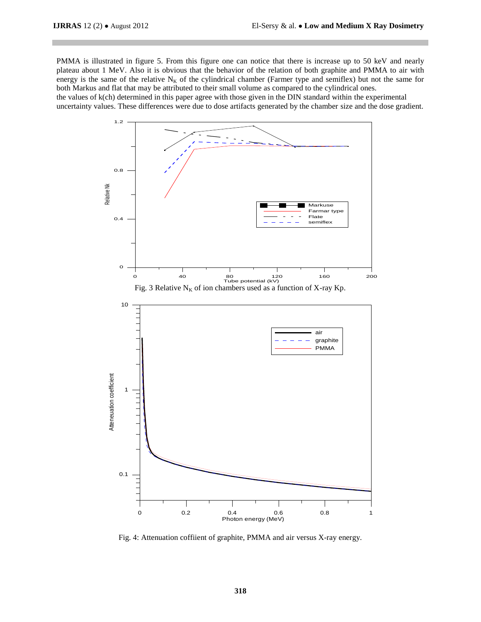PMMA is illustrated in figure 5. From this figure one can notice that there is increase up to 50 keV and nearly plateau about 1 MeV. Also it is obvious that the behavior of the relation of both graphite and PMMA to air with energy is the same of the relative  $N_K$  of the cylindrical chamber (Farmer type and semiflex) but not the same for both Markus and flat that may be attributed to their small volume as compared to the cylindrical ones.

the values of k(ch) determined in this paper agree with those given in the DIN standard within the experimental uncertainty values. These differences were due to dose artifacts generated by the chamber size and the dose gradient.



Fig. 4: Attenuation coffiient of graphite, PMMA and air versus X-ray energy.